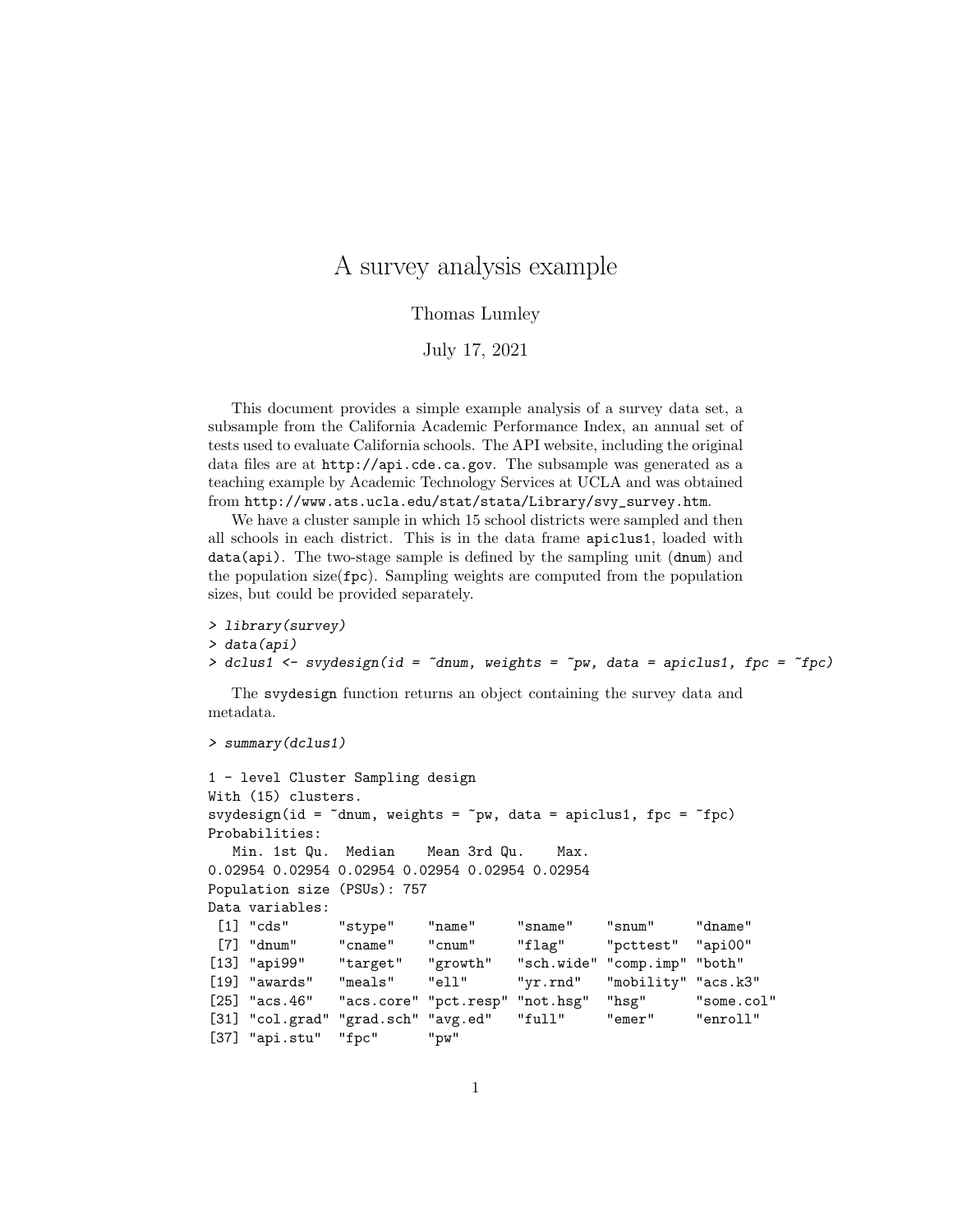## A survey analysis example

## Thomas Lumley

## July 17, 2021

This document provides a simple example analysis of a survey data set, a subsample from the California Academic Performance Index, an annual set of tests used to evaluate California schools. The API website, including the original data files are at http://api.cde.ca.gov. The subsample was generated as a teaching example by Academic Technology Services at UCLA and was obtained from http://www.ats.ucla.edu/stat/stata/Library/svy\_survey.htm.

We have a cluster sample in which 15 school districts were sampled and then all schools in each district. This is in the data frame apiclus1, loaded with data(api). The two-stage sample is defined by the sampling unit (dnum) and the population size(fpc). Sampling weights are computed from the population sizes, but could be provided separately.

```
> library(survey)
> data(api)
> dclus1 \leq svydesign(id = \simdnum, weights = \simpw, data = apiclus1, fpc = \simfpc)
```
The svydesign function returns an object containing the survey data and metadata.

```
> summary(dclus1)
```

```
1 - level Cluster Sampling design
With (15) clusters.
svydesign(id = \tilde{c}dnum, weights = \tilde{c}pw, data = apiclus1, fpc = \tilde{c}fpc)
Probabilities:
  Min. 1st Qu. Median Mean 3rd Qu. Max.
0.02954 0.02954 0.02954 0.02954 0.02954 0.02954
Population size (PSUs): 757
Data variables:
 [1] "cds" "stype" "name" "sname" "snum" "dname"
 [7] "dnum" "cname" "cnum" "flag" "pcttest" "api00"
[13] "api99" "target" "growth" "sch.wide" "comp.imp" "both"
[19] "awards" "meals" "ell" "yr.rnd" "mobility" "acs.k3"
[25] "acs.46" "acs.core" "pct.resp" "not.hsg" "hsg" "some.col"
[31] "col.grad" "grad.sch" "avg.ed" "full" "emer" "enroll"
[37] "api.stu" "fpc" "pw"
```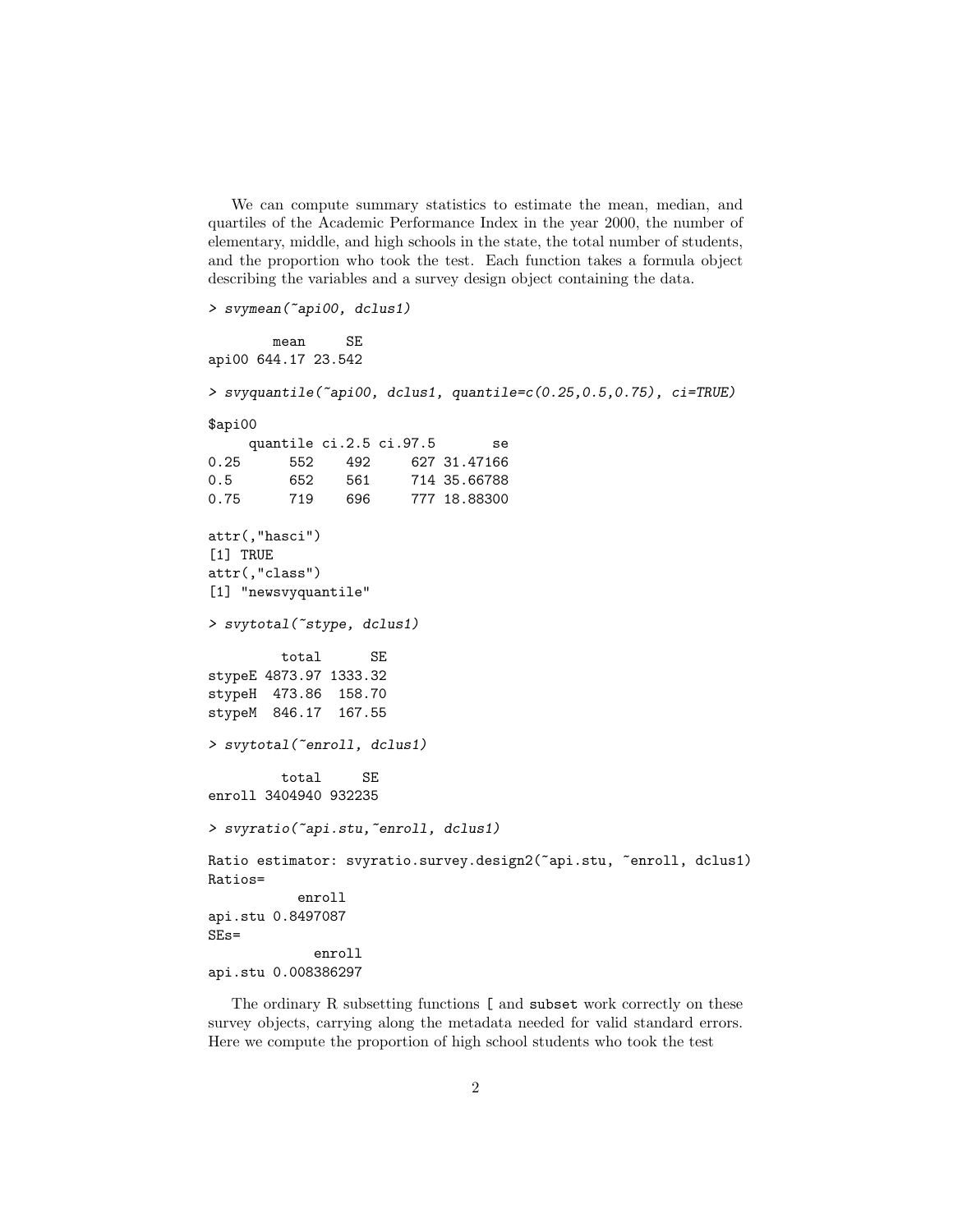We can compute summary statistics to estimate the mean, median, and quartiles of the Academic Performance Index in the year 2000, the number of elementary, middle, and high schools in the state, the total number of students, and the proportion who took the test. Each function takes a formula object describing the variables and a survey design object containing the data.

> svymean(~api00, dclus1)

```
mean SE
api00 644.17 23.542
> svyquantile(~api00, dclus1, quantile=c(0.25,0.5,0.75), ci=TRUE)
$api00
    quantile ci.2.5 ci.97.5 se
0.25 552 492 627 31.47166
0.5 652 561 714 35.66788
0.75 719 696 777 18.88300
attr(,"hasci")
[1] TRUE
attr(,"class")
[1] "newsvyquantile"
> svytotal(~stype, dclus1)
        total SE
stypeE 4873.97 1333.32
stypeH 473.86 158.70
stypeM 846.17 167.55
> svytotal(~enroll, dclus1)
        total SE
enroll 3404940 932235
> svyratio(~api.stu,~enroll, dclus1)
Ratio estimator: svyratio.survey.design2(~api.stu, ~enroll, dclus1)
Ratios=
          enroll
api.stu 0.8497087
SEs=
            enroll
api.stu 0.008386297
```
The ordinary R subsetting functions [ and subset work correctly on these survey objects, carrying along the metadata needed for valid standard errors. Here we compute the proportion of high school students who took the test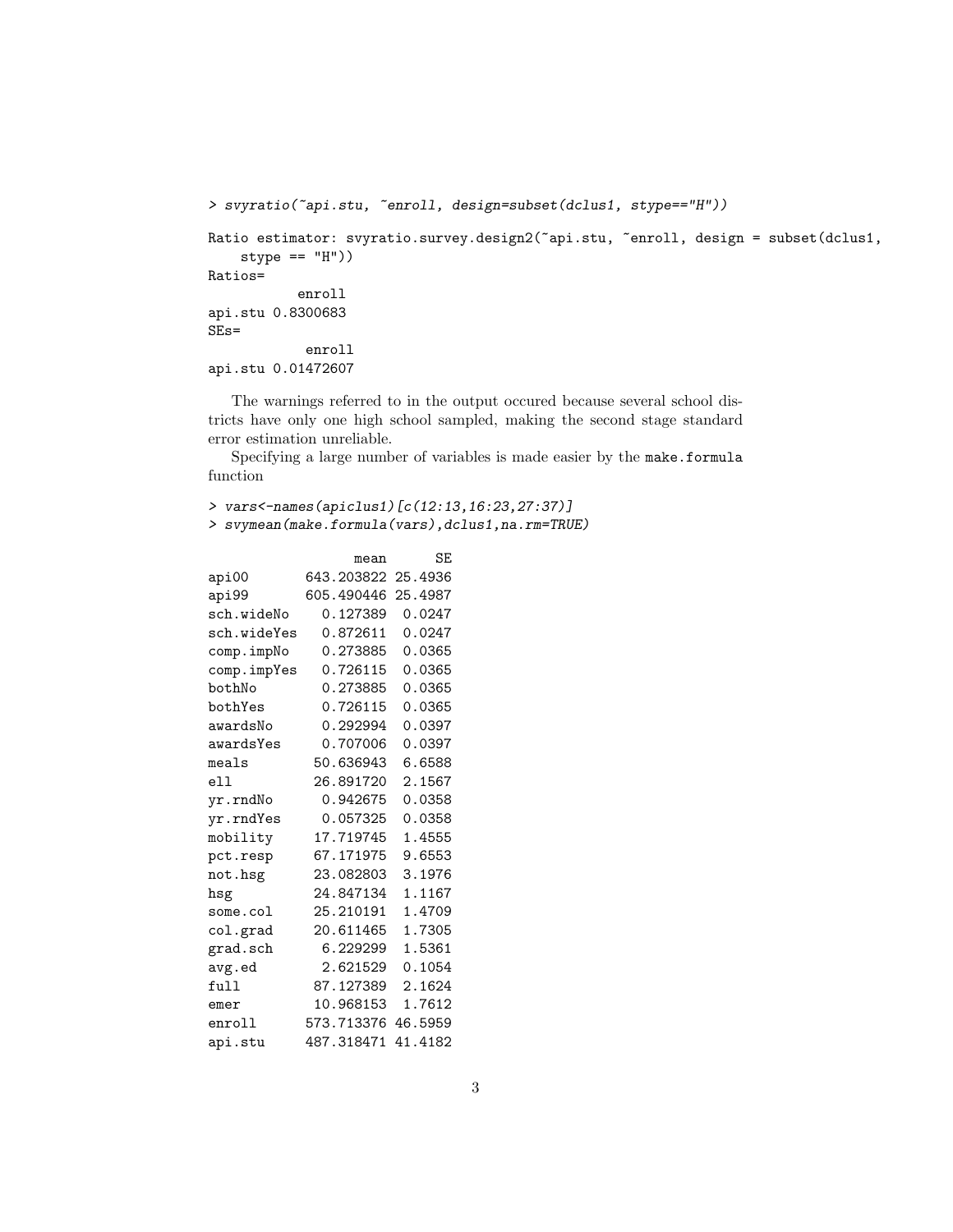```
> svyratio(~api.stu, ~enroll, design=subset(dclus1, stype=="H"))
Ratio estimator: svyratio.survey.design2(~api.stu, ~enroll, design = subset(dclus1,
    style == "H"))
Ratios=
           enroll
api.stu 0.8300683
SEs=
            enroll
api.stu 0.01472607
```
The warnings referred to in the output occured because several school districts have only one high school sampled, making the second stage standard error estimation unreliable.

Specifying a large number of variables is made easier by the make.formula function

> vars<-names(apiclus1)[c(12:13,16:23,27:37)] > svymean(make.formula(vars),dclus1,na.rm=TRUE)

|             | mean               | SE      |
|-------------|--------------------|---------|
| api00       | 643.203822 25.4936 |         |
| api99       | 605.490446         | 25.4987 |
| sch.wideNo  | 0.127389           | 0.0247  |
| sch.wideYes | 0.872611           | 0.0247  |
| comp.impNo  | 0.273885           | 0.0365  |
| comp.impYes | 0.726115           | 0.0365  |
| bothNo      | 0.273885           | 0.0365  |
| bothYes     | 0.726115           | 0.0365  |
| awardsNo    | 0.292994           | 0.0397  |
| awardsYes   | 0.707006           | 0.0397  |
| meals       | 50.636943          | 6.6588  |
| ell         | 26.891720          | 2.1567  |
| yr.rndNo    | 0.942675           | 0.0358  |
| yr.rndYes   | 0.057325           | 0.0358  |
| mobility    | 17.719745          | 1.4555  |
| pct.resp    | 67.171975          | 9.6553  |
| not.hsg     | 23.082803          | 3.1976  |
| hsg         | 24.847134          | 1.1167  |
| some.col    | 25.210191          | 1.4709  |
| col.grad    | 20.611465          | 1.7305  |
| grad.sch    | 6.229299           | 1.5361  |
| avg.ed      | 2.621529           | 0.1054  |
| full        | 87.127389          | 2.1624  |
| emer        | 10.968153          | 1.7612  |
| enroll      | 573.713376         | 46.5959 |
| api.stu     | 487.318471         | 41.4182 |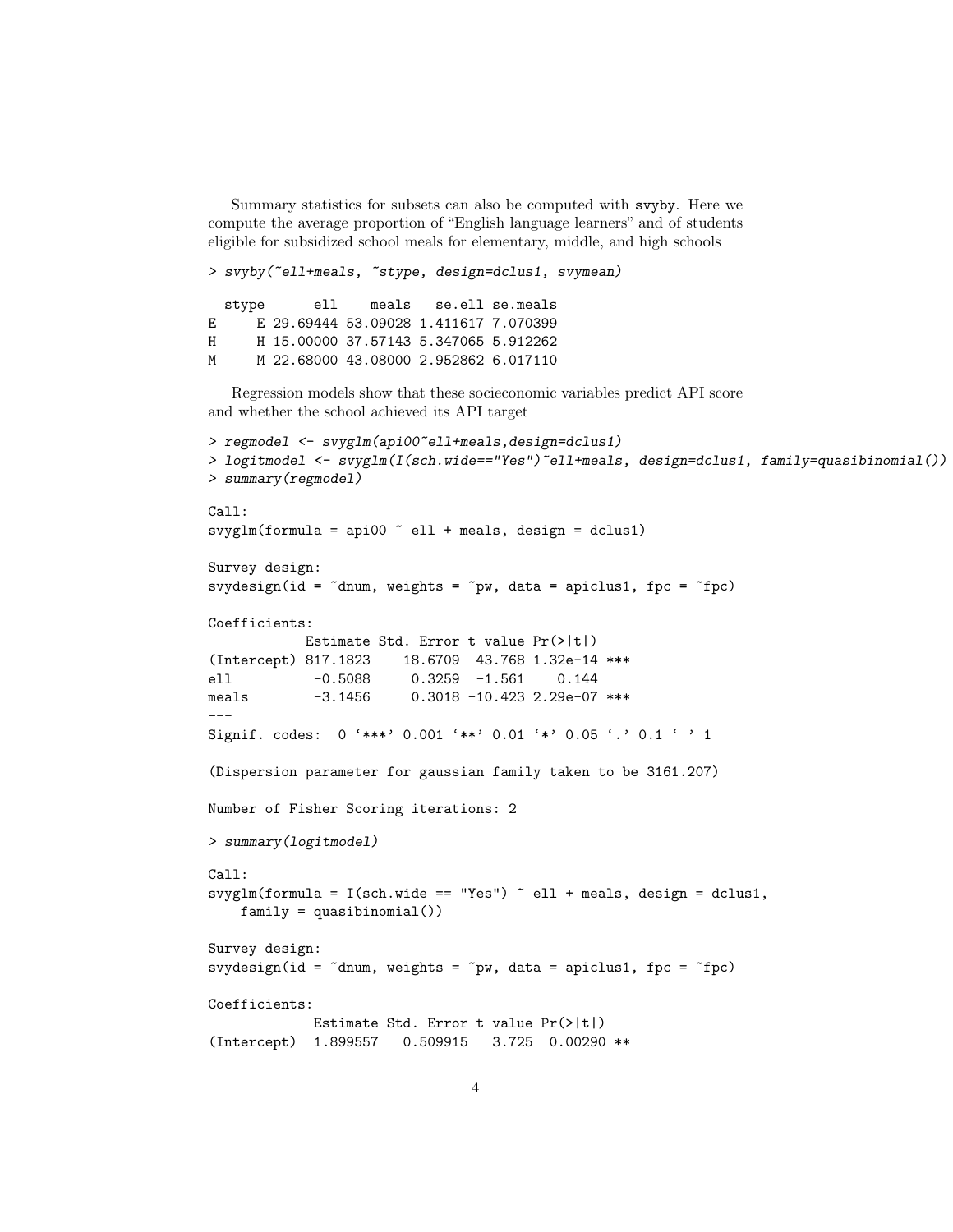Summary statistics for subsets can also be computed with svyby. Here we compute the average proportion of "English language learners" and of students eligible for subsidized school meals for elementary, middle, and high schools

> svyby(~ell+meals, ~stype, design=dclus1, svymean) stype ell meals se.ell se.meals E E 29.69444 53.09028 1.411617 7.070399 H H 15.00000 37.57143 5.347065 5.912262 M M 22.68000 43.08000 2.952862 6.017110

Regression models show that these socieconomic variables predict API score and whether the school achieved its API target

```
> regmodel <- svyglm(api00~ell+meals,design=dclus1)
> logitmodel <- svyglm(I(sch.wide=="Yes")~ell+meals, design=dclus1, family=quasibinomial())
> summary(regmodel)
Call:
svyglm(formula = api00 \degree ell + meals, design = dclus1)
Survey design:
svydesign(id = \text{^{\sim}}dnum, weights = \text{^{\sim}}pw, data = apiclus1, fpc = \text{^{\sim}}fpc)
Coefficients:
             Estimate Std. Error t value Pr(>|t|)
(Intercept) 817.1823 18.6709 43.768 1.32e-14 ***
ell -0.5088 0.3259 -1.561 0.144
meals -3.1456 0.3018 -10.423 2.29e-07 ***
---
Signif. codes: 0 '***' 0.001 '**' 0.01 '*' 0.05 '.' 0.1 ' ' 1
(Dispersion parameter for gaussian family taken to be 3161.207)
Number of Fisher Scoring iterations: 2
> summary(logitmodel)
Call:
svyglm(formula = I(sch.wide == "Yes") \tilde{ }</math> ell + meals, design = delus1,family = quasibinomial()Survey design:
svydesign(id = \text{"dnum}, \text{weights} = \text{``pw}, \text{ data} = \text{apiclass1}, \text{ frc} = \text{``fpc})
Coefficients:
             Estimate Std. Error t value Pr(>|t|)
(Intercept) 1.899557 0.509915 3.725 0.00290 **
```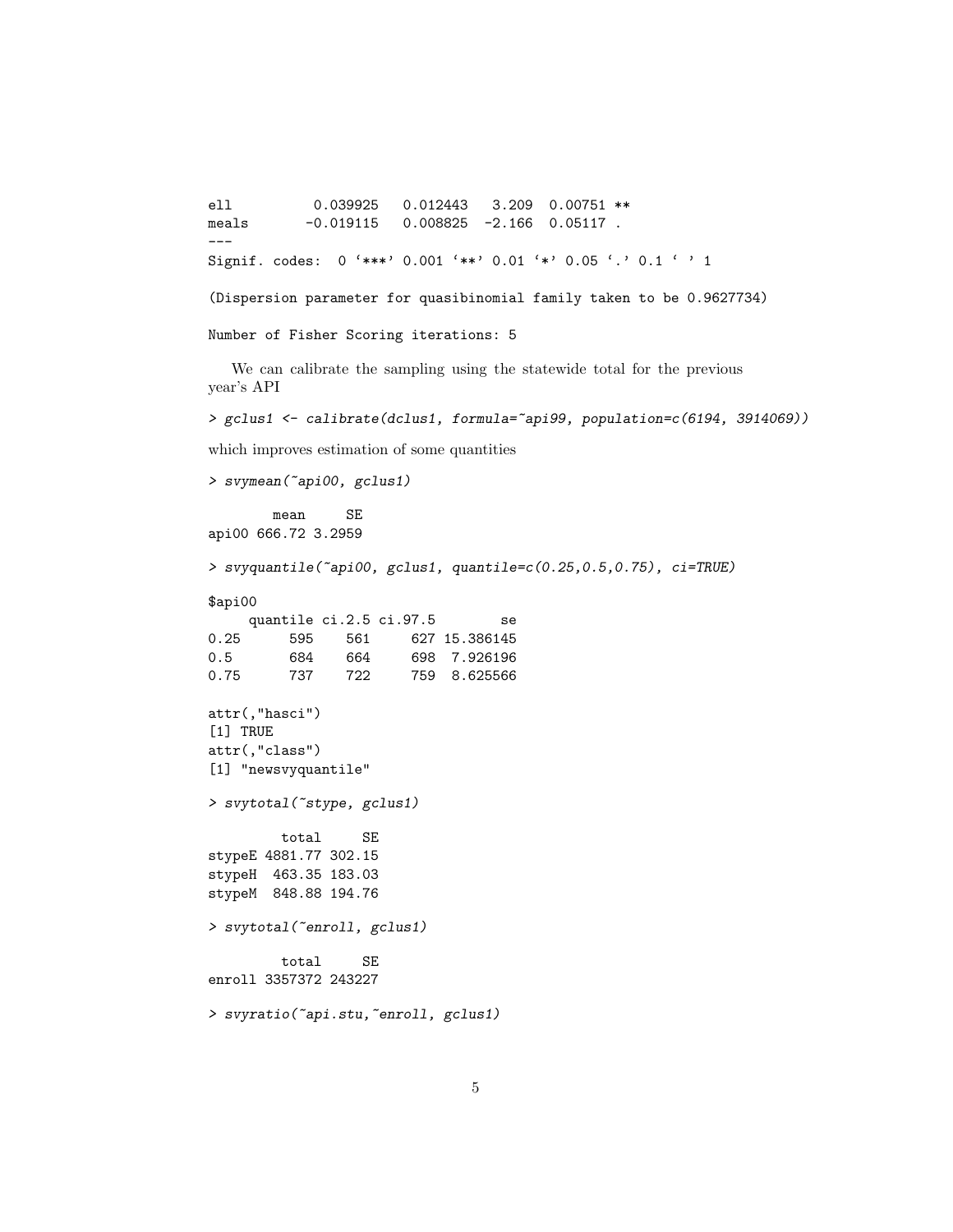```
e110.039925
                         0.012443 3.209 0.00751 **
            -0.0191150.008825 -2.166 0.05117.
meals\frac{1}{1}Signif. codes: 0 '***' 0.001 '**' 0.01 '*' 0.05 '.' 0.1 ' ' 1
(Dispersion parameter for quasibinomial family taken to be 0.9627734)
Number of Fisher Scoring iterations: 5
  We can calibrate the sampling using the statewide total for the previous
year's API
> gclus1 <- calibrate(dclus1, formula="api99, population=c(6194, 3914069))
which improves estimation of some quantities
> svymean("api00, gclus1)
        meanSE
api00 666.72 3.2959
> svyquantile("api00, gclus1, quantile=c(0.25,0.5,0.75), ci=TRUE)
\mathfrak{Fapi}00
     quantile ci.2.5 ci.97.5
                                     se
0.25595
               561
                         627 15.386145
0.5684
                 664
                         698 7.926196
0.75
          737
                722
                         759 8.625566
attr(,"hasci")
[1] TRUE
attr(,"class")
[1] "newsvyquantile"
> svytotal("stype, gclus1)
         total
                   \operatorname{SE}stypeE 4881.77 302.15
stypeH 463.35 183.03
stypeM 848.88 194.76
> svytotal("enroll, gclus1)
         total
                   SE
enroll 3357372 243227
> svyratio("api.stu, "enroll, gclus1)
```